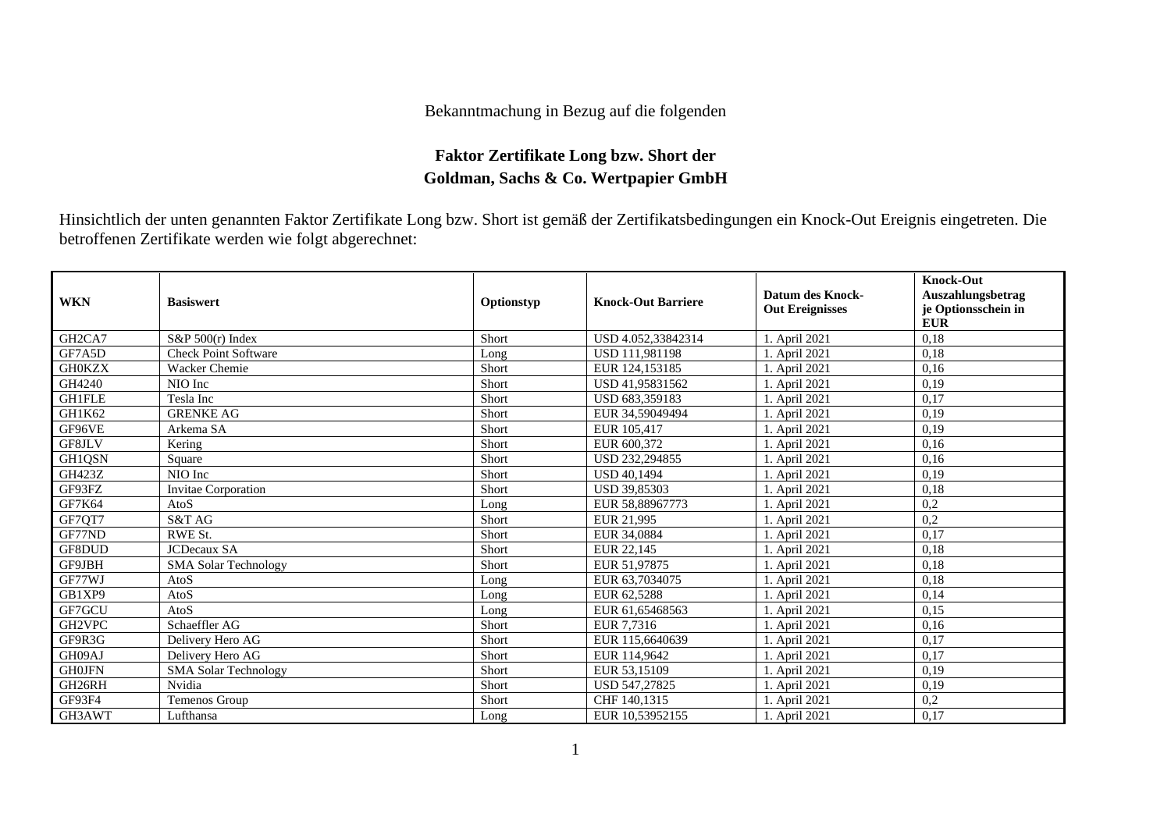## Bekanntmachung in Bezug auf die folgenden

## **Faktor Zertifikate Long bzw. Short der Goldman, Sachs & Co. Wertpapier GmbH**

Hinsichtlich der unten genannten Faktor Zertifikate Long bzw. Short ist gemäß der Zertifikatsbedingungen ein Knock-Out Ereignis eingetreten. Die betroffenen Zertifikate werden wie folgt abgerechnet:

| <b>WKN</b>                      | <b>Basiswert</b>            | Optionstyp | <b>Knock-Out Barriere</b> | <b>Datum des Knock-</b><br><b>Out Ereignisses</b> | <b>Knock-Out</b><br>Auszahlungsbetrag<br>je Optionsschein in<br><b>EUR</b> |
|---------------------------------|-----------------------------|------------|---------------------------|---------------------------------------------------|----------------------------------------------------------------------------|
| GH <sub>2</sub> CA <sub>7</sub> | $S\&P 500(r)$ Index         | Short      | USD 4.052,33842314        | 1. April 2021                                     | 0,18                                                                       |
| GF7A5D                          | Check Point Software        | Long       | USD 111,981198            | 1. April 2021                                     | 0,18                                                                       |
| <b>GH0KZX</b>                   | Wacker Chemie               | Short      | EUR 124,153185            | 1. April 2021                                     | 0,16                                                                       |
| GH4240                          | NIO Inc                     | Short      | USD 41.95831562           | 1. April 2021                                     | 0.19                                                                       |
| <b>GH1FLE</b>                   | Tesla Inc                   | Short      | USD 683,359183            | 1. April 2021                                     | 0,17                                                                       |
| GH1K62                          | <b>GRENKE AG</b>            | Short      | EUR 34,59049494           | 1. April 2021                                     | 0,19                                                                       |
| GF96VE                          | Arkema SA                   | Short      | EUR 105,417               | 1. April 2021                                     | 0,19                                                                       |
| GF8JLV                          | Kering                      | Short      | EUR 600.372               | 1. April 2021                                     | 0,16                                                                       |
| GH1QSN                          | Square                      | Short      | USD 232,294855            | 1. April 2021                                     | 0,16                                                                       |
| <b>GH423Z</b>                   | NIO Inc                     | Short      | <b>USD 40.1494</b>        | 1. April 2021                                     | 0,19                                                                       |
| GF93FZ                          | <b>Invitae Corporation</b>  | Short      | <b>USD 39.85303</b>       | 1. April 2021                                     | 0,18                                                                       |
| <b>GF7K64</b>                   | AtoS                        | Long       | EUR 58,88967773           | 1. April 2021                                     | 0,2                                                                        |
| GF7QT7                          | S&T AG                      | Short      | EUR 21,995                | 1. April 2021                                     | 0,2                                                                        |
| GF77ND                          | RWE St.                     | Short      | EUR 34,0884               | 1. April 2021                                     | 0,17                                                                       |
| GF8DUD                          | <b>JCDecaux SA</b>          | Short      | EUR 22,145                | 1. April 2021                                     | 0,18                                                                       |
| GF9JBH                          | <b>SMA Solar Technology</b> | Short      | EUR 51,97875              | 1. April 2021                                     | 0,18                                                                       |
| GF77WJ                          | AtoS                        | Long       | EUR 63,7034075            | 1. April 2021                                     | 0,18                                                                       |
| GB1XP9                          | AtoS                        | Long       | EUR 62,5288               | 1. April 2021                                     | 0.14                                                                       |
| GF7GCU                          | AtoS                        | Long       | EUR 61,65468563           | 1. April 2021                                     | 0,15                                                                       |
| GH2VPC                          | Schaeffler AG               | Short      | EUR 7.7316                | 1. April 2021                                     | 0,16                                                                       |
| GF9R3G                          | Delivery Hero AG            | Short      | EUR 115,6640639           | 1. April 2021                                     | 0,17                                                                       |
| GH09AJ                          | Delivery Hero AG            | Short      | EUR 114,9642              | 1. April 2021                                     | 0.17                                                                       |
| <b>GH0JFN</b>                   | <b>SMA Solar Technology</b> | Short      | EUR 53,15109              | 1. April 2021                                     | 0,19                                                                       |
| GH26RH                          | Nvidia                      | Short      | USD 547,27825             | 1. April 2021                                     | 0.19                                                                       |
| <b>GF93F4</b>                   | Temenos Group               | Short      | CHF 140,1315              | 1. April 2021                                     | 0,2                                                                        |
| GH3AWT                          | Lufthansa                   | Long       | EUR 10,53952155           | 1. April 2021                                     | 0,17                                                                       |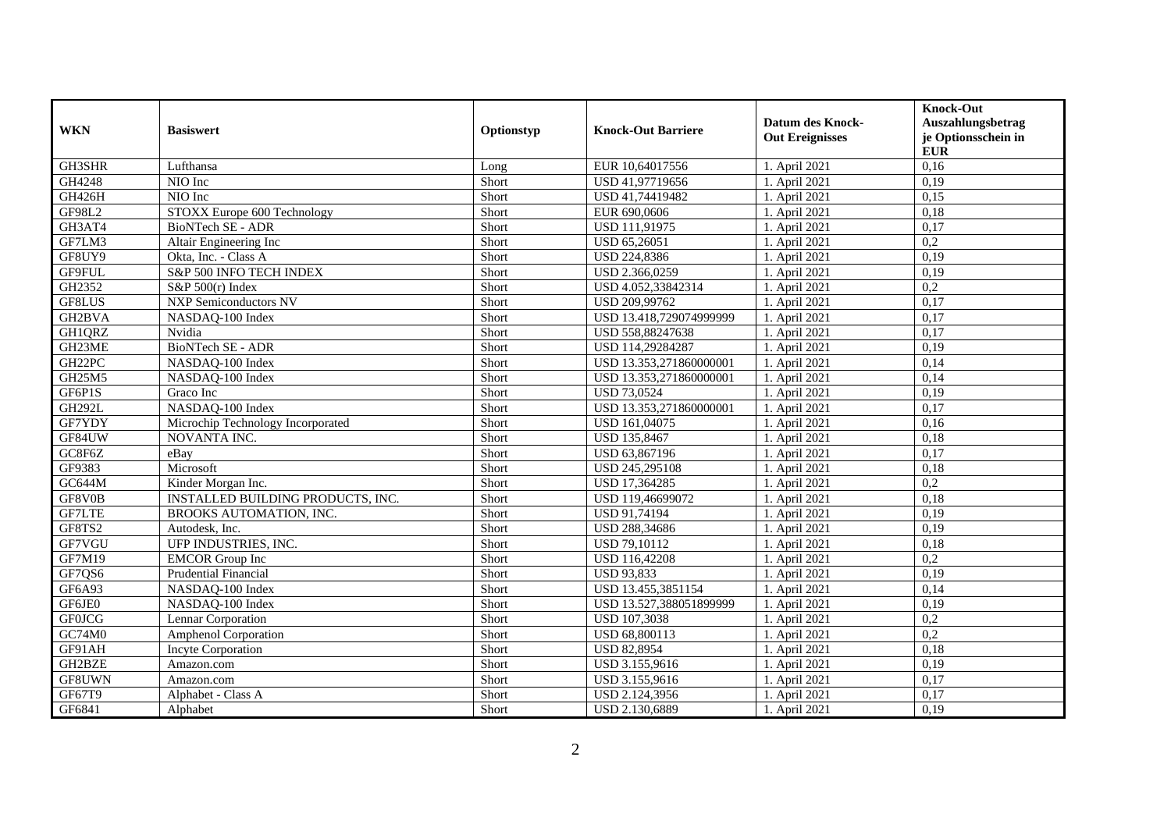| <b>WKN</b>    | <b>Basiswert</b>                  | Optionstyp | <b>Knock-Out Barriere</b> | <b>Datum des Knock-</b><br><b>Out Ereignisses</b> | <b>Knock-Out</b><br>Auszahlungsbetrag<br>je Optionsschein in<br><b>EUR</b> |
|---------------|-----------------------------------|------------|---------------------------|---------------------------------------------------|----------------------------------------------------------------------------|
| GH3SHR        | Lufthansa                         | Long       | EUR 10,64017556           | 1. April 2021                                     | 0,16                                                                       |
| GH4248        | NIO Inc                           | Short      | USD 41,97719656           | 1. April 2021                                     | 0,19                                                                       |
| <b>GH426H</b> | NIO Inc                           | Short      | USD 41,74419482           | 1. April 2021                                     | 0,15                                                                       |
| GF98L2        | STOXX Europe 600 Technology       | Short      | EUR 690,0606              | 1. April 2021                                     | 0,18                                                                       |
| GH3AT4        | BioNTech SE - ADR                 | Short      | USD 111,91975             | 1. April 2021                                     | 0,17                                                                       |
| GF7LM3        | Altair Engineering Inc            | Short      | USD 65,26051              | 1. April 2021                                     | 0,2                                                                        |
| GF8UY9        | Okta, Inc. - Class A              | Short      | USD 224,8386              | 1. April 2021                                     | 0,19                                                                       |
| GF9FUL        | S&P 500 INFO TECH INDEX           | Short      | USD 2.366,0259            | 1. April 2021                                     | 0,19                                                                       |
| GH2352        | S&P 500(r) Index                  | Short      | USD 4.052,33842314        | 1. April 2021                                     | 0,2                                                                        |
| GF8LUS        | <b>NXP Semiconductors NV</b>      | Short      | USD 209,99762             | 1. April 2021                                     | 0,17                                                                       |
| GH2BVA        | NASDAQ-100 Index                  | Short      | USD 13.418,729074999999   | 1. April 2021                                     | 0,17                                                                       |
| GH1QRZ        | Nvidia                            | Short      | USD 558,88247638          | 1. April 2021                                     | 0,17                                                                       |
| GH23ME        | BioNTech SE - ADR                 | Short      | USD 114,29284287          | 1. April 2021                                     | 0,19                                                                       |
| GH22PC        | NASDAQ-100 Index                  | Short      | USD 13.353,271860000001   | 1. April 2021                                     | 0,14                                                                       |
| GH25M5        | NASDAQ-100 Index                  | Short      | USD 13.353,271860000001   | 1. April 2021                                     | 0,14                                                                       |
| GF6P1S        | Graco Inc                         | Short      | <b>USD 73,0524</b>        | 1. April 2021                                     | 0,19                                                                       |
| <b>GH292L</b> | NASDAQ-100 Index                  | Short      | USD 13.353,271860000001   | 1. April 2021                                     | 0,17                                                                       |
| GF7YDY        | Microchip Technology Incorporated | Short      | USD 161,04075             | 1. April 2021                                     | 0,16                                                                       |
| GF84UW        | NOVANTA INC.                      | Short      | USD 135,8467              | 1. April 2021                                     | 0,18                                                                       |
| GC8F6Z        | eBay                              | Short      | USD 63,867196             | 1. April 2021                                     | 0,17                                                                       |
| GF9383        | Microsoft                         | Short      | USD 245,295108            | 1. April 2021                                     | 0,18                                                                       |
| GC644M        | Kinder Morgan Inc.                | Short      | USD 17,364285             | 1. April 2021                                     | $\overline{0,2}$                                                           |
| GF8V0B        | INSTALLED BUILDING PRODUCTS, INC. | Short      | USD 119,46699072          | 1. April 2021                                     | 0,18                                                                       |
| <b>GF7LTE</b> | <b>BROOKS AUTOMATION, INC.</b>    | Short      | <b>USD 91.74194</b>       | 1. April 2021                                     | 0,19                                                                       |
| GF8TS2        | Autodesk, Inc.                    | Short      | USD 288,34686             | 1. April 2021                                     | 0,19                                                                       |
| GF7VGU        | UFP INDUSTRIES, INC.              | Short      | USD 79,10112              | 1. April 2021                                     | 0,18                                                                       |
| GF7M19        | <b>EMCOR</b> Group Inc            | Short      | USD 116,42208             | 1. April 2021                                     | $\overline{0,2}$                                                           |
| GF7QS6        | <b>Prudential Financial</b>       | Short      | <b>USD 93,833</b>         | 1. April 2021                                     | 0,19                                                                       |
| GF6A93        | NASDAQ-100 Index                  | Short      | USD 13.455,3851154        | 1. April 2021                                     | 0,14                                                                       |
| GF6JE0        | NASDAQ-100 Index                  | Short      | USD 13.527,388051899999   | 1. April 2021                                     | 0,19                                                                       |
| <b>GF0JCG</b> | Lennar Corporation                | Short      | USD 107,3038              | 1. April 2021                                     | 0,2                                                                        |
| GC74M0        | Amphenol Corporation              | Short      | USD 68,800113             | 1. April 2021                                     | 0,2                                                                        |
| GF91AH        | <b>Incyte Corporation</b>         | Short      | <b>USD 82,8954</b>        | 1. April 2021                                     | 0,18                                                                       |
| GH2BZE        | Amazon.com                        | Short      | USD 3.155,9616            | 1. April 2021                                     | 0,19                                                                       |
| GF8UWN        | Amazon.com                        | Short      | USD 3.155,9616            | 1. April 2021                                     | 0,17                                                                       |
| GF67T9        | Alphabet - Class A                | Short      | USD 2.124,3956            | 1. April 2021                                     | 0,17                                                                       |
| GF6841        | Alphabet                          | Short      | USD 2.130,6889            | 1. April 2021                                     | 0,19                                                                       |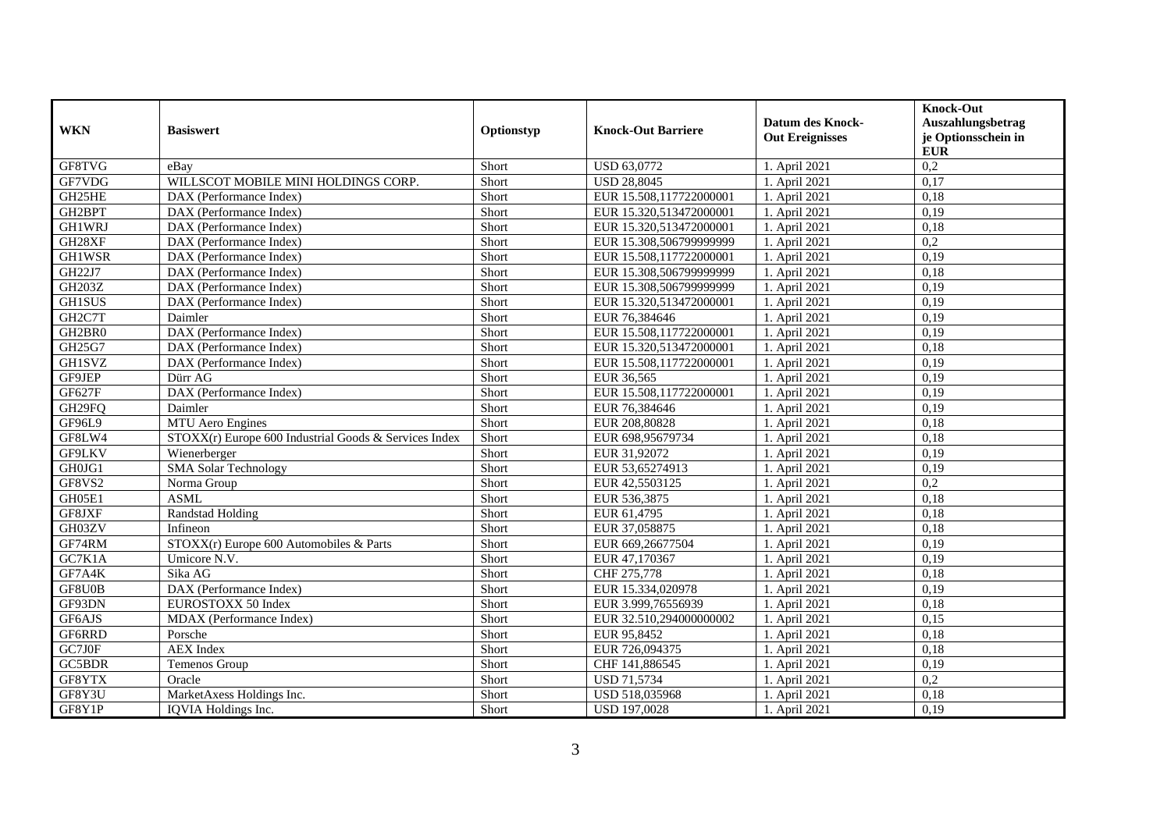| <b>WKN</b>          | <b>Basiswert</b>                                      | Optionstyp | <b>Knock-Out Barriere</b> | <b>Datum des Knock-</b><br><b>Out Ereignisses</b> | <b>Knock-Out</b><br>Auszahlungsbetrag<br>je Optionsschein in<br>${\bf EUR}$ |
|---------------------|-------------------------------------------------------|------------|---------------------------|---------------------------------------------------|-----------------------------------------------------------------------------|
| GF8TVG              | eBay                                                  | Short      | <b>USD 63,0772</b>        | 1. April 2021                                     | 0,2                                                                         |
| GF7VDG              | WILLSCOT MOBILE MINI HOLDINGS CORP.                   | Short      | <b>USD 28,8045</b>        | 1. April 2021                                     | 0,17                                                                        |
| GH25HE              | DAX (Performance Index)                               | Short      | EUR 15.508,117722000001   | 1. April 2021                                     | 0,18                                                                        |
| GH2BPT              | DAX (Performance Index)                               | Short      | EUR 15.320,513472000001   | 1. April 2021                                     | 0,19                                                                        |
| <b>GH1WRJ</b>       | DAX (Performance Index)                               | Short      | EUR 15.320,513472000001   | 1. April 2021                                     | 0,18                                                                        |
| GH28XF              | DAX (Performance Index)                               | Short      | EUR 15.308,506799999999   | 1. April 2021                                     | 0,2                                                                         |
| <b>GH1WSR</b>       | DAX (Performance Index)                               | Short      | EUR 15.508,117722000001   | 1. April 2021                                     | 0,19                                                                        |
| GH22J7              | DAX (Performance Index)                               | Short      | EUR 15.308,506799999999   | 1. April 2021                                     | 0,18                                                                        |
| GH203Z              | DAX (Performance Index)                               | Short      | EUR 15.308,506799999999   | 1. April 2021                                     | 0,19                                                                        |
| <b>GH1SUS</b>       | DAX (Performance Index)                               | Short      | EUR 15.320,513472000001   | 1. April 2021                                     | 0,19                                                                        |
| GH <sub>2</sub> C7T | Daimler                                               | Short      | EUR 76,384646             | 1. April 2021                                     | 0,19                                                                        |
| GH2BR0              | DAX (Performance Index)                               | Short      | EUR 15.508,117722000001   | 1. April 2021                                     | 0,19                                                                        |
| GH25G7              | DAX (Performance Index)                               | Short      | EUR 15.320,513472000001   | 1. April 2021                                     | 0,18                                                                        |
| GH1SVZ              | DAX (Performance Index)                               | Short      | EUR 15.508,117722000001   | 1. April 2021                                     | 0,19                                                                        |
| GF9JEP              | Dürr AG                                               | Short      | EUR 36,565                | 1. April 2021                                     | 0,19                                                                        |
| GF627F              | DAX (Performance Index)                               | Short      | EUR 15.508,117722000001   | 1. April 2021                                     | 0,19                                                                        |
| GH <sub>29FO</sub>  | Daimler                                               | Short      | EUR 76,384646             | 1. April 2021                                     | 0.19                                                                        |
| GF96L9              | MTU Aero Engines                                      | Short      | EUR 208,80828             | 1. April 2021                                     | 0,18                                                                        |
| GF8LW4              | STOXX(r) Europe 600 Industrial Goods & Services Index | Short      | EUR 698,95679734          | 1. April 2021                                     | 0,18                                                                        |
| <b>GF9LKV</b>       | Wienerberger                                          | Short      | EUR 31,92072              | 1. April 2021                                     | 0,19                                                                        |
| GH0JG1              | <b>SMA Solar Technology</b>                           | Short      | EUR 53,65274913           | 1. April 2021                                     | 0,19                                                                        |
| GF8VS2              | Norma Group                                           | Short      | EUR 42,5503125            | 1. April 2021                                     | 0,2                                                                         |
| GH05E1              | <b>ASML</b>                                           | Short      | EUR 536,3875              | 1. April 2021                                     | 0,18                                                                        |
| GF8JXF              | Randstad Holding                                      | Short      | EUR 61,4795               | 1. April 2021                                     | 0.18                                                                        |
| GH03ZV              | Infineon                                              | Short      | EUR 37,058875             | 1. April 2021                                     | 0,18                                                                        |
| GF74RM              | STOXX(r) Europe 600 Automobiles & Parts               | Short      | EUR 669,26677504          | 1. April 2021                                     | 0,19                                                                        |
| GC7K1A              | Umicore N.V.                                          | Short      | EUR 47,170367             | 1. April 2021                                     | 0,19                                                                        |
| GF7A4K              | Sika AG                                               | Short      | CHF 275,778               | 1. April 2021                                     | 0,18                                                                        |
| GF8U0B              | DAX (Performance Index)                               | Short      | EUR 15.334,020978         | 1. April 2021                                     | 0,19                                                                        |
| GF93DN              | EUROSTOXX 50 Index                                    | Short      | EUR 3.999,76556939        | 1. April 2021                                     | 0,18                                                                        |
| GF6AJS              | MDAX (Performance Index)                              | Short      | EUR 32.510,294000000002   | 1. April 2021                                     | 0,15                                                                        |
| GF6RRD              | Porsche                                               | Short      | EUR 95,8452               | 1. April 2021                                     | 0,18                                                                        |
| GC7J0F              | <b>AEX</b> Index                                      | Short      | EUR 726,094375            | 1. April 2021                                     | 0,18                                                                        |
| GC5BDR              | Temenos Group                                         | Short      | CHF 141,886545            | 1. April 2021                                     | 0,19                                                                        |
| GF8YTX              | Oracle                                                | Short      | <b>USD 71,5734</b>        | 1. April 2021                                     | 0,2                                                                         |
| GF8Y3U              | MarketAxess Holdings Inc.                             | Short      | USD 518,035968            | 1. April 2021                                     | 0,18                                                                        |
| GF8Y1P              | IQVIA Holdings Inc.                                   | Short      | USD 197,0028              | 1. April 2021                                     | 0,19                                                                        |